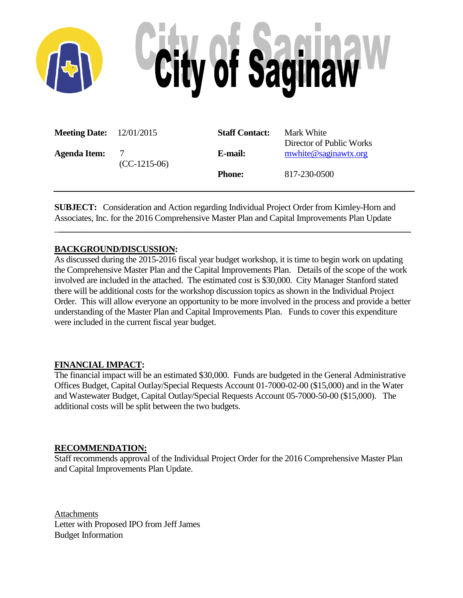

| <b>Meeting Date:</b> $12/01/2015$ |                     | <b>Staff Contact:</b> | Mark White<br>Director of Public Works |
|-----------------------------------|---------------------|-----------------------|----------------------------------------|
| Agenda Item:                      | 7<br>$(CC-1215-06)$ | E-mail:               | mwhite@saginawtx.org                   |
|                                   |                     | <b>Phone:</b>         | 817-230-0500                           |

**SUBJECT:** Consideration and Action regarding Individual Project Order from Kimley-Horn and Associates, Inc. for the 2016 Comprehensive Master Plan and Capital Improvements Plan Update

\_**\_\_\_\_\_\_\_\_\_\_\_\_\_\_\_\_\_\_\_\_\_\_\_\_\_\_\_\_\_\_\_\_\_\_\_\_\_\_\_\_\_\_\_\_\_\_\_\_\_\_\_\_\_\_\_\_\_\_\_\_\_\_\_\_\_\_\_\_\_\_\_\_\_\_\_\_\_\_\_\_\_**

#### **BACKGROUND/DISCUSSION:**

As discussed during the 2015-2016 fiscal year budget workshop, it is time to begin work on updating the Comprehensive Master Plan and the Capital Improvements Plan. Details of the scope of the work involved are included in the attached. The estimated cost is \$30,000. City Manager Stanford stated there will be additional costs for the workshop discussion topics as shown in the Individual Project Order. This will allow everyone an opportunity to be more involved in the process and provide a better understanding of the Master Plan and Capital Improvements Plan. Funds to cover this expenditure were included in the current fiscal year budget.

#### **FINANCIAL IMPACT:**

The financial impact will be an estimated \$30,000. Funds are budgeted in the General Administrative Offices Budget, Capital Outlay/Special Requests Account 01-7000-02-00 (\$15,000) and in the Water and Wastewater Budget, Capital Outlay/Special Requests Account 05-7000-50-00 (\$15,000). The additional costs will be split between the two budgets.

#### **RECOMMENDATION:**

Staff recommends approval of the Individual Project Order for the 2016 Comprehensive Master Plan and Capital Improvements Plan Update.

**Attachments** Letter with Proposed IPO from Jeff James Budget Information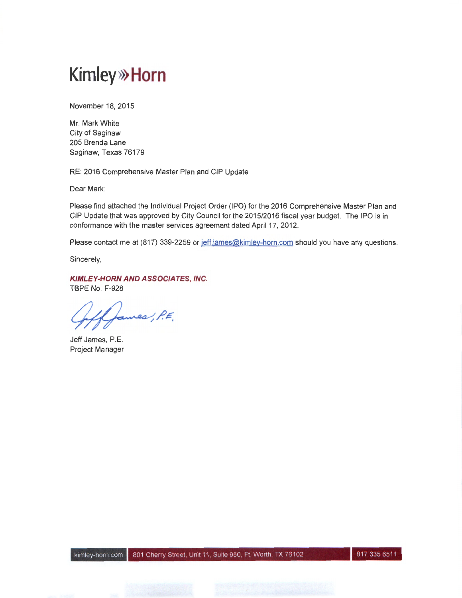## **Kim ley>>> Horn**

November 18, 2015

Mr. Mark White City of Saginaw 205 Brenda Lane Saginaw, Texas 76179

RE: 2016 Comprehensive Master Plan and CIP Update

Dear Mark:

Please find attached the Individual Project Order (IPO) for the 2016 Comprehensive Master Plan and CIP Update that was approved by City Council for the 2015/2016 fiscal year budget. The IPO is in conformance with the master services agreement dated April 17, 2012.

Please contact me at (817) 339-2259 or jeff.james@kimley-horn.com should you have any questions.

Sincerely,

KIMLEY-HORN AND ASSOCIATES, INC. TBPE No. F-928

ames, P.E.

Jeff James, P.E. Project Manager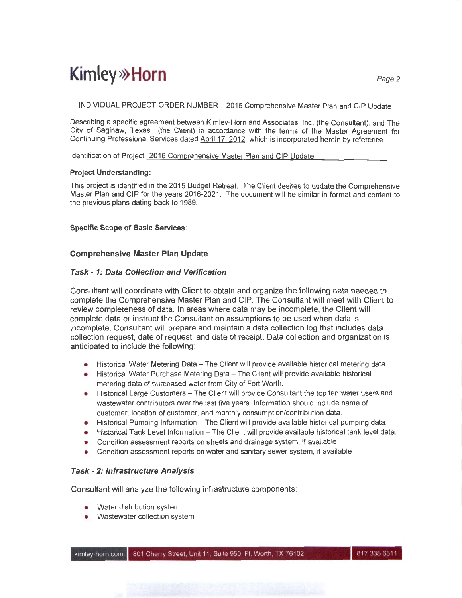## **Kimley»Horn**  $_{Page\ 2}$

INDIVIDUAL PROJECT ORDER NUMBER - 2016 Comprehensive Master Plan and CIP Update

Describing a specific agreement between Kimley-Horn and Associates, Inc. (the Consultant), and The City of Saginaw, Texas (the Client) in accordance with the terms of the Master Agreement for Continuing Professional Services dated April 17. 2012, which is incorporated herein by reference.

Identification of Project: 2016 Comprehensive Master Plan and CIP Update

#### **Project Understanding:**

This project is identified in the 2015 Budget Retreat. The Client desires to update the Comprehensive Master Plan and CIP for the years 2016-2021 . The document will be similar in format and content to the previous plans dating back to 1989.

#### **Specific Scope of Basic Services:**

#### **Comprehensive Master Plan Update**

#### **Task - 1: Data Collection and Verification**

Consultant will coordinate with Client to obtain and organize the following data needed to complete the Comprehensive Master Plan and CIP. The Consultant will meet with Client to review completeness of data. In areas where data may be incomplete, the Client will complete data or instruct the Consultant on assumptions to be used when data is incomplete. Consultant will prepare and maintain a data collection log that includes data collection request, date of request, and date of receipt. Data collection and organization is anticipated to include the following:

- Historical Water Metering Data- The Client will provide available historical metering data.
- Historical Water Purchase Metering Data The Client will provide available historical metering data of purchased water from City of Fort Worth.
- Historical Large Customers The Client will provide Consultant the top ten water users and wastewater contributors over the last five years. Information should include name of customer, location of customer, and monthly consumption/contribution data.
- Historical Pumping Information The Client will provide available historical pumping data.
- Historical Tank Level Information The Client will provide available historical tank level data.
- Condition assessment reports on streets and drainage system, if available
- Condition assessment reports on water and sanitary sewer system, if available

#### **Task- 2: Infrastructure Analysis**

Consultant will analyze the following infrastructure components:

- Water distribution system
- Wastewater collection system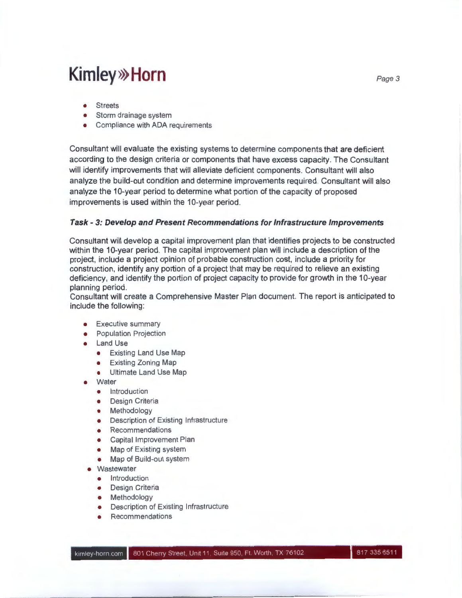### **Kimley» Horn** Page 3

- Streets
- Storm drainage system
- Compliance with ADA requirements

Consultant will evaluate the existing systems to determine components that are deficient according to the design criteria or components that have excess capacity. The Consultant will identify improvements that will alleviate deficient components. Consultant will also analyze the build-out condition and determine improvements required. Consultant will also analyze the 10-year period to determine what portion of the capacity of proposed improvements is used within the 10-year period.

#### **Task- 3: Develop and Present Recommendations for Infrastructure Improvements**

Consultant will develop a capital improvement plan that identifies projects to be constructed within the 10-year period. The capital improvement plan will include a description of the project, include a project opinion of probable construction cost, include a priority for construction, identify any portion of a project that may be required to relieve an existing deficiency, and identify the portion of project capacity to provide for growth in the 10-year planning period.

Consultant will create a Comprehensive Master Plan document. The report is anticipated to include the following:

- Executive summary
- **•** Population Projection
- Land Use
	- Existing Land Use Map
	- Existing Zoning Map
	- Ultimate Land Use Map
- Water
	- **•** Introduction
	- Design Criteria
	- Methodology
	- Description of Existing Infrastructure
	- Recommendations
	- Capital Improvement Plan
	- Map of Existing system
	- Map of Build-out system
- Wastewater
	- Introduction
	- Design Criteria
	- Methodology
	- Description of Existing Infrastructure
	- Recommendations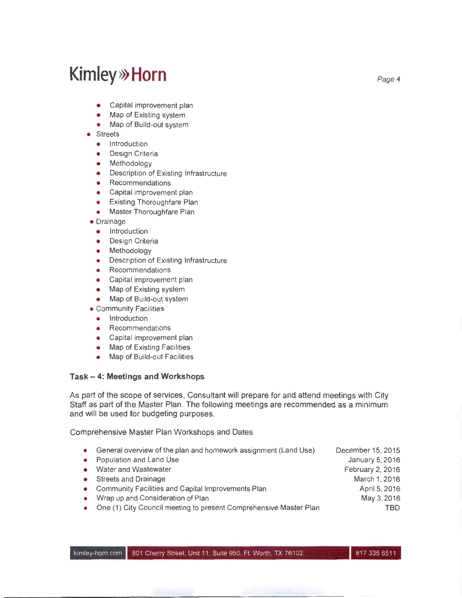### **Kimley»Horn**  $P_{\text{age 4}}$

- Capital improvement plan
- Map of Existing system
- Map of Build-out system
- **Streets** 
	- Introduction
	- Design Criteria
	- Methodology
	- Description of Existing Infrastructure
	- Recommendations
	- Capital improvement plan
	- Existing Thoroughfare Plan
	- Master Thoroughfare Plan
- Drainage
	- **•** Introduction
	- Design Criteria
	- Methodology
	- Description of Existing Infrastructure
	- Recommendations
	- Capital improvement plan
	- Map of Existing system
	- Map of Build-out system
- Community Facilities
	- Introduction
	- Recommendations
	- Capital improvement plan
	- Map of Existing Facilities
	- Map of Build-out Facilities

#### **Task- 4: Meetings and Workshops**

As part of the scope of services, Consultant will prepare for and attend meetings with City Staff as part of the Master Plan. The following meetings are recommended as a minimum and will be used for budgeting purposes.

Comprehensive Master Plan Workshops and Dates

- General overview of the plan and homework assignment (Land Use) • Population and Land Use • Water and Wastewater • Streets and Drainage • Community Facilities and Capital Improvements Plan • Wrap up and Consideration of Plan • One (1) City Council meeting to present Comprehensive Master Plan December 15, 2015 January 5, 2016 February 2, 2016 March 1, 2016 April 5, 2016 May 3,2016 TBD
- kimley-horn.com | 801 Cherry Street, Unit 11, Suite 950, Ft. Worth, TX 76102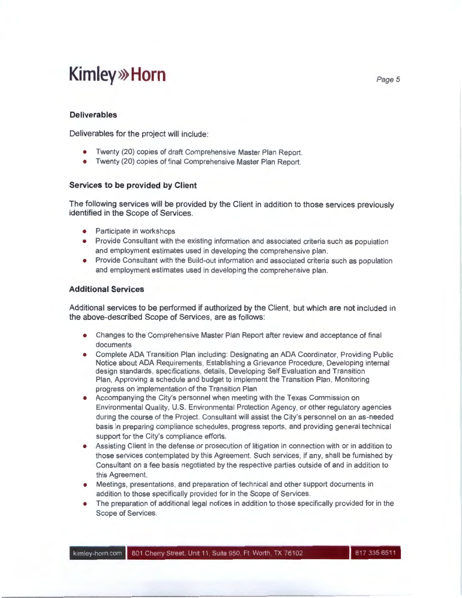### **Kimley» Horn** Page 5

#### **Deliverables**

Deliverables for the project will include:

- Twenty (20) copies of draft Comprehensive Master Plan Report.
- Twenty (20) copies of final Comprehensive Master Plan Report.

#### **Services to be provided by Client**

The following services will be provided by the Client in addition to those services previously identified in the Scope of Services.

- Participate in workshops
- Provide Consultant with the existing information and associated criteria such as population and employment estimates used in developing the comprehensive plan.
- Provide Consultant with the Build-out information and associated criteria such as population and employment estimates used in developing the comprehensive plan.

#### **Additional Services**

Additional services to be performed if authorized by the Client, but which are not included in the above-described Scope of Services, are as follows:

- Changes to the Comprehensive Master Plan Report after review and acceptance of final documents
- Complete ADA Transition Plan including: Designating an ADA Coordinator, Providing Public Notice about ADA Requirements, Establishing a Grievance Procedure, Developing internal design standards, specifications, details, Developing Self Evaluation and Transition Plan, Approving a schedule and budget to implement the Transition Plan, Monitoring progress on implementation of the Transition Plan
- Accompanying the City's personnel when meeting with the Texas Commission on Environmental Quality, U.S. Environmental Protection Agency, or other regulatory agencies during the course of the Project. Consultant will assist the City's personnel on an as-needed basis in preparing compliance schedules, progress reports, and providing general technical support for the City's compliance efforts.
- Assisting Client in the defense or prosecution of litigation in connection with or in addition to those services contemplated by this Agreement. Such services, if any, shall be furnished by Consultant on a fee basis negotiated by the respective parties outside of and in addition to this Agreement.
- Meetings, presentations, and preparation of technical and other support documents in addition to those specifically provided for in the Scope of Services.
- The preparation of additional legal notices in addition to those specifically provided for in the Scope of Services.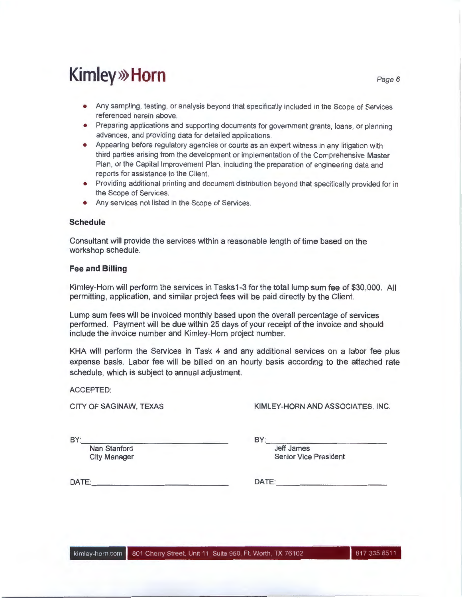## **Kimley» Horn** Page 6

- Any sampling, testing, or analysis beyond that specifically included in the Scope of Services referenced herein above.
- Preparing applications and supporting documents for government grants, loans, or planning advances, and providing data for detailed applications.
- Appearing before regulatory agencies or courts as an expert witness in any litigation with third parties arising from the development or implementation of the Comprehensive Master Plan, or the Capital Improvement Plan, including the preparation of engineering data and reports for assistance to the Client.
- Providing additional printing and document distribution beyond that specifically provided for in the Scope of Services.
- Any services not listed in the Scope of Services.

#### **Schedule**

Consultant will provide the services within a reasonable length of time based on the workshop schedule.

#### **Fee and Billing**

Kimley-Horn will perform the services in Tasks1 -3 for the total lump sum fee of \$30,000. All permitting, application, and similar project fees will be paid directly by the Client.

Lump sum fees will be invoiced monthly based upon the overall percentage of services performed. Payment will be due within 25 days of your receipt of the invoice and should include the invoice number and Kimley-Horn project number.

KHA will perform the Services in Task 4 and any additional services on a labor fee plus expense basis. Labor fee will be billed on an hourly basis according to the attached rate schedule, which is subject to annual adjustment.

ACCEPTED:

CITY OF SAGINAW, TEXAS KIMLEY-HORN AND ASSOCIATES, INC.

BY:<br>Nan Stanford Nan Stanford

 $BY:$ 

Jeff James City Manager **Senior Vice President** 

DATE: \_\_\_\_\_\_\_\_\_\_\_\_\_ \_ DATE: \_\_\_\_\_\_\_\_\_\_ \_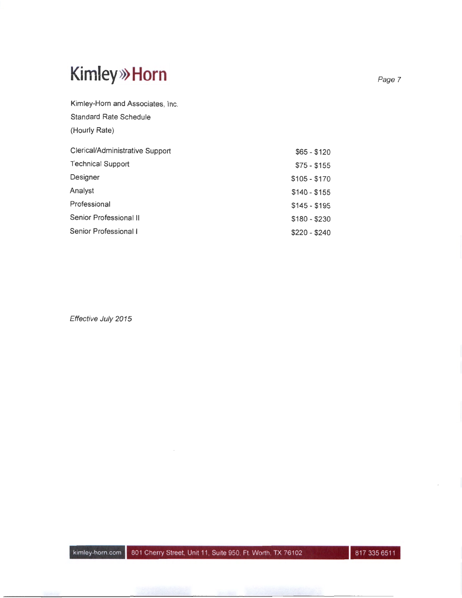# **Kim ley>>> Horn**

Kimley-Horn and Associates, Inc.

| <b>Standard Rate Schedule</b>   |               |
|---------------------------------|---------------|
| (Hourly Rate)                   |               |
| Clerical/Administrative Support | $$65 - $120$  |
| <b>Technical Support</b>        | $$75 - $155$  |
| Designer                        | $$105 - $170$ |
| Analyst                         | $$140 - $155$ |
| Professional                    | $$145 - $195$ |
| Senior Professional II          | $$180 - $230$ |
| Senior Professional I           | $$220 - $240$ |

Effective July 2015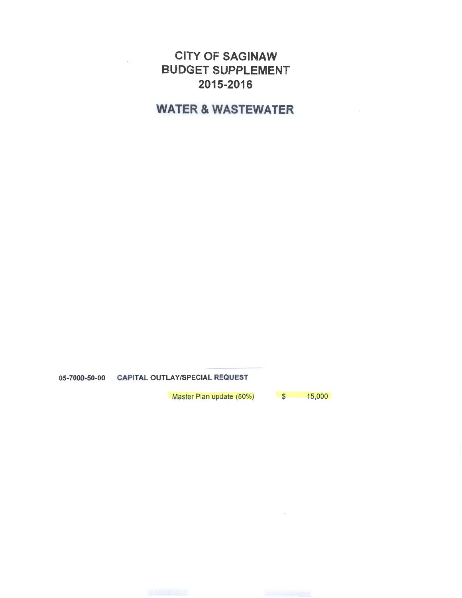### CITY OF SAGINAW BUDGET SUPPLEMENT 2015-2016

WATER & WASTEWATER

05-7000-50-00 CAPITAL OUTLAY/SPECIAL REQUEST

Master Plan update (50%) \$ 15,000